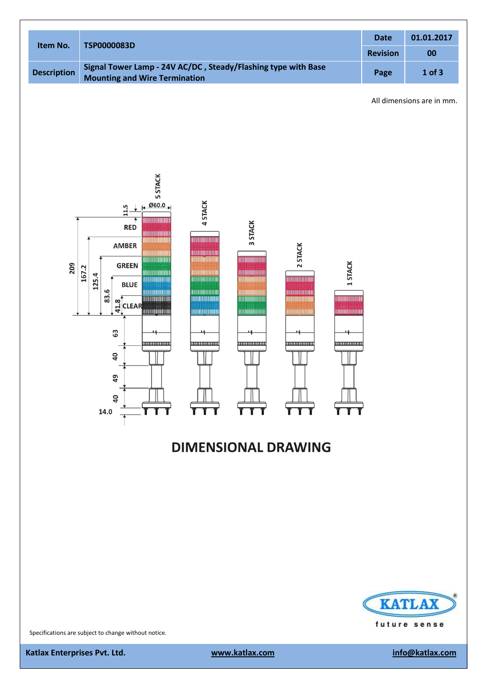| Item No.           | <b>TSP0000083D</b>                                                                                    | <b>Date</b>     | 01.01.2017 |
|--------------------|-------------------------------------------------------------------------------------------------------|-----------------|------------|
|                    |                                                                                                       | <b>Revision</b> | 00         |
| <b>Description</b> | Signal Tower Lamp - 24V AC/DC, Steady/Flashing type with Base<br><b>Mounting and Wire Termination</b> | Page            | $1$ of $3$ |

All dimensions are in mm.



# **DIMENSIONAL DRAWING**



Specifications are subject to change without notice.

**Katlax** Enterprises Pvt. Ltd. www.katlax.com info@katlax.com info@katlax.com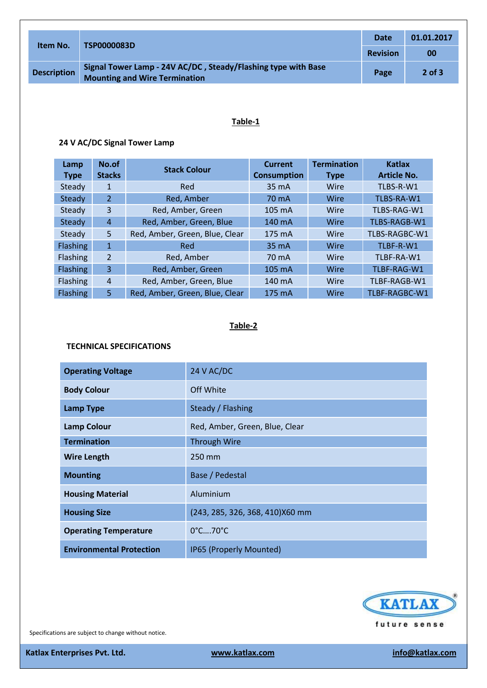| Item No.           | TSP0000083D                                                                                           | Date            | 01.01.2017 |
|--------------------|-------------------------------------------------------------------------------------------------------|-----------------|------------|
|                    |                                                                                                       | <b>Revision</b> | 00         |
| <b>Description</b> | Signal Tower Lamp - 24V AC/DC, Steady/Flashing type with Base<br><b>Mounting and Wire Termination</b> | Page            | $2$ of $3$ |

## **Table-1**

### **24 V AC/DC Signal Tower Lamp**

| Lamp<br><b>Type</b> | No.of<br><b>Stacks</b> | <b>Stack Colour</b>            | <b>Current</b><br><b>Consumption</b> | <b>Termination</b><br><b>Type</b> | Katlax<br><b>Article No.</b> |
|---------------------|------------------------|--------------------------------|--------------------------------------|-----------------------------------|------------------------------|
| Steady              | 1                      | Red                            | 35 mA                                | Wire                              | TLBS-R-W1                    |
| Steady              | $\overline{2}$         | Red, Amber                     | 70 mA                                | Wire                              | TLBS-RA-W1                   |
| Steady              | 3                      | Red, Amber, Green              | $105 \text{ mA}$                     | Wire                              | TLBS-RAG-W1                  |
| Steady              | $\overline{A}$         | Red, Amber, Green, Blue        | 140 mA                               | Wire                              | TLBS-RAGB-W1                 |
| Steady              | 5                      | Red, Amber, Green, Blue, Clear | 175 mA                               | Wire                              | TLBS-RAGBC-W1                |
| <b>Flashing</b>     | $\mathbf{1}$           | Red                            | 35 mA                                | Wire                              | TLBF-R-W1                    |
| <b>Flashing</b>     | $\overline{2}$         | Red, Amber                     | 70 mA                                | Wire                              | TLBF-RA-W1                   |
| <b>Flashing</b>     | 3                      | Red, Amber, Green              | $105 \text{ mA}$                     | Wire                              | TLBF-RAG-W1                  |
| Flashing            | $\overline{4}$         | Red, Amber, Green, Blue        | 140 mA                               | Wire                              | TLBF-RAGB-W1                 |
| <b>Flashing</b>     | 5                      | Red, Amber, Green, Blue, Clear | 175 mA                               | Wire                              | TLBF-RAGBC-W1                |

#### **Table-2**

## **TECHNICAL SPECIFICATIONS**

| <b>Operating Voltage</b>        | 24 V AC/DC                       |
|---------------------------------|----------------------------------|
| <b>Body Colour</b>              | Off White                        |
| <b>Lamp Type</b>                | Steady / Flashing                |
| <b>Lamp Colour</b>              | Red, Amber, Green, Blue, Clear   |
| <b>Termination</b>              | <b>Through Wire</b>              |
| <b>Wire Length</b>              | 250 mm                           |
| <b>Mounting</b>                 | Base / Pedestal                  |
| <b>Housing Material</b>         | Aluminium                        |
| <b>Housing Size</b>             | (243, 285, 326, 368, 410) X60 mm |
| <b>Operating Temperature</b>    | $0^{\circ}$ C $70^{\circ}$ C     |
| <b>Environmental Protection</b> | IP65 (Properly Mounted)          |



Specifications are subject to change without notice.

**Katlax** Enterprises Pvt. Ltd. www.katlax.com info@katlax.com info@katlax.com